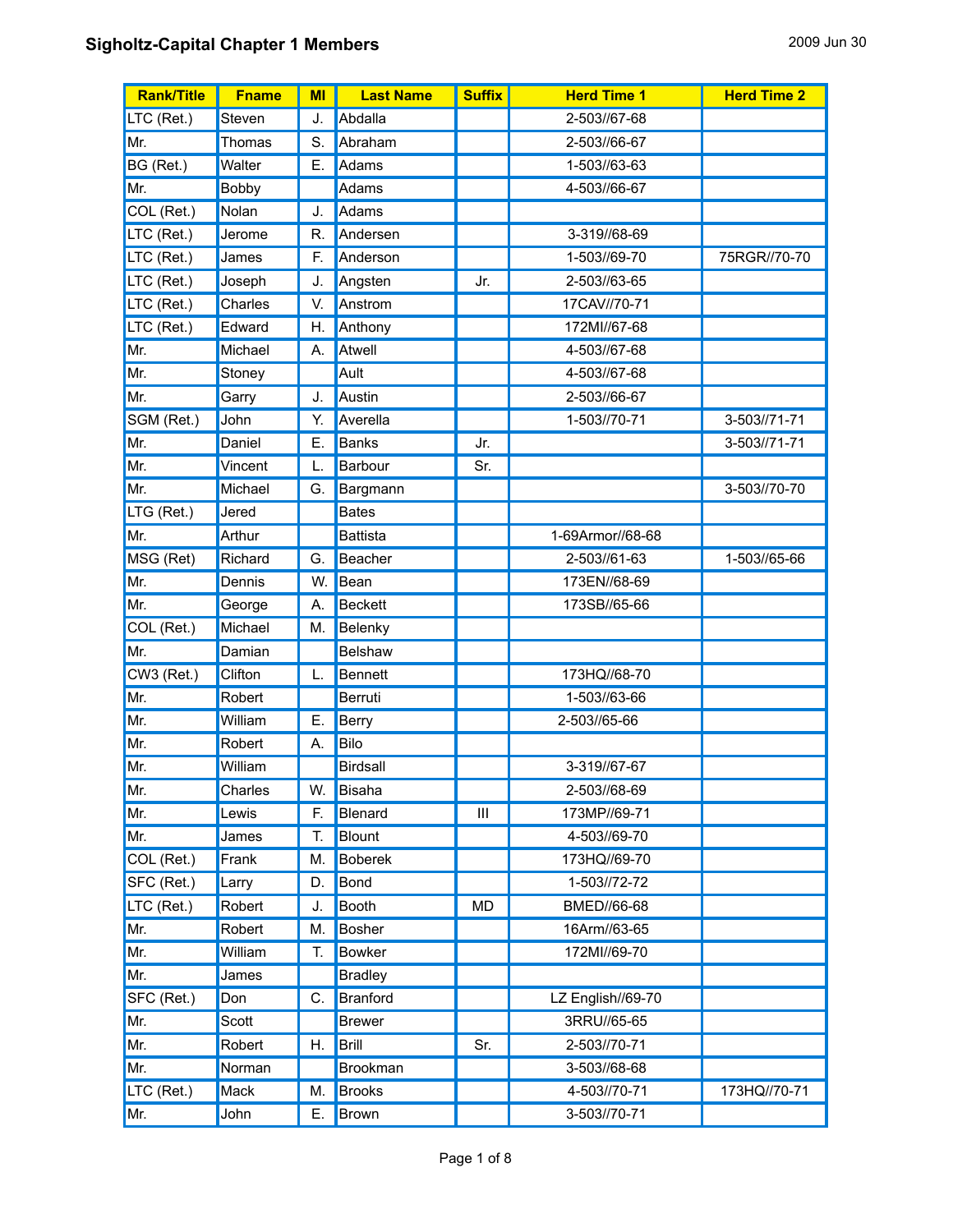| <b>Rank/Title</b> | <b>Fname</b> | MI | <b>Last Name</b> | <b>Suffix</b> | <b>Herd Time 1</b> | <b>Herd Time 2</b> |
|-------------------|--------------|----|------------------|---------------|--------------------|--------------------|
| LTC (Ret.)        | Steven       | J. | Abdalla          |               | 2-503//67-68       |                    |
| Mr.               | Thomas       | S. | Abraham          |               | 2-503//66-67       |                    |
| BG (Ret.)         | Walter       | Е. | Adams            |               | 1-503//63-63       |                    |
| Mr.               | Bobby        |    | Adams            |               | 4-503//66-67       |                    |
| COL (Ret.)        | Nolan        | J. | Adams            |               |                    |                    |
| LTC (Ret.)        | Jerome       | R. | Andersen         |               | 3-319//68-69       |                    |
| LTC (Ret.)        | James        | F. | Anderson         |               | 1-503//69-70       | 75RGR//70-70       |
| LTC (Ret.)        | Joseph       | J. | Angsten          | Jr.           | 2-503//63-65       |                    |
| LTC (Ret.)        | Charles      | V. | Anstrom          |               | 17CAV//70-71       |                    |
| LTC (Ret.)        | Edward       | Η. | Anthony          |               | 172MI//67-68       |                    |
| Mr.               | Michael      | А. | Atwell           |               | 4-503//67-68       |                    |
| Mr.               | Stoney       |    | Ault             |               | 4-503//67-68       |                    |
| Mr.               | Garry        | J. | Austin           |               | 2-503//66-67       |                    |
| SGM (Ret.)        | John         | Y. | Averella         |               | 1-503//70-71       | 3-503//71-71       |
| Mr.               | Daniel       | Е. | Banks            | Jr.           |                    | 3-503//71-71       |
| Mr.               | Vincent      | L. | Barbour          | Sr.           |                    |                    |
| Mr.               | Michael      | G. | Bargmann         |               |                    | 3-503//70-70       |
| LTG (Ret.)        | Jered        |    | <b>Bates</b>     |               |                    |                    |
| Mr.               | Arthur       |    | Battista         |               | 1-69Armor//68-68   |                    |
| MSG (Ret)         | Richard      | G. | Beacher          |               | 2-503//61-63       | 1-503//65-66       |
| Mr.               | Dennis       | W. | Bean             |               | 173EN//68-69       |                    |
| Mr.               | George       | А. | <b>Beckett</b>   |               | 173SB//65-66       |                    |
| COL (Ret.)        | Michael      | М. | Belenky          |               |                    |                    |
| Mr.               | Damian       |    | <b>Belshaw</b>   |               |                    |                    |
| CW3 (Ret.)        | Clifton      | L. | Bennett          |               | 173HQ//68-70       |                    |
| Mr.               | Robert       |    | Berruti          |               | 1-503//63-66       |                    |
| Mr.               | William      | Е. | Berry            |               | 2-503//65-66       |                    |
| Mr.               | Robert       | Α. | Bilo             |               |                    |                    |
| Mr.               | William      |    | <b>Birdsall</b>  |               | 3-319//67-67       |                    |
| Mr.               | Charles      | W. | Bisaha           |               | 2-503//68-69       |                    |
| Mr.               | Lewis        | F. | Blenard          | Ш             | 173MP//69-71       |                    |
| Mr.               | James        | Т. | Blount           |               | 4-503//69-70       |                    |
| COL (Ret.)        | Frank        | М. | <b>Boberek</b>   |               | 173HQ//69-70       |                    |
| SFC (Ret.)        | Larry        | D. | Bond             |               | 1-503//72-72       |                    |
| LTC (Ret.)        | Robert       | J. | Booth            | MD            | BMED//66-68        |                    |
| Mr.               | Robert       | М. | Bosher           |               | 16Arm//63-65       |                    |
| Mr.               | William      | Т. | <b>Bowker</b>    |               | 172MI//69-70       |                    |
| Mr.               | James        |    | <b>Bradley</b>   |               |                    |                    |
| SFC (Ret.)        | Don          | C. | Branford         |               | LZ English//69-70  |                    |
| Mr.               | Scott        |    | <b>Brewer</b>    |               | 3RRU//65-65        |                    |
| Mr.               | Robert       | Η. | Brill            | Sr.           | 2-503//70-71       |                    |
| Mr.               | Norman       |    | Brookman         |               | 3-503//68-68       |                    |
| LTC (Ret.)        | Mack         | M. | <b>Brooks</b>    |               | 4-503//70-71       | 173HQ//70-71       |
| Mr.               | John         | Ε. | Brown            |               | 3-503//70-71       |                    |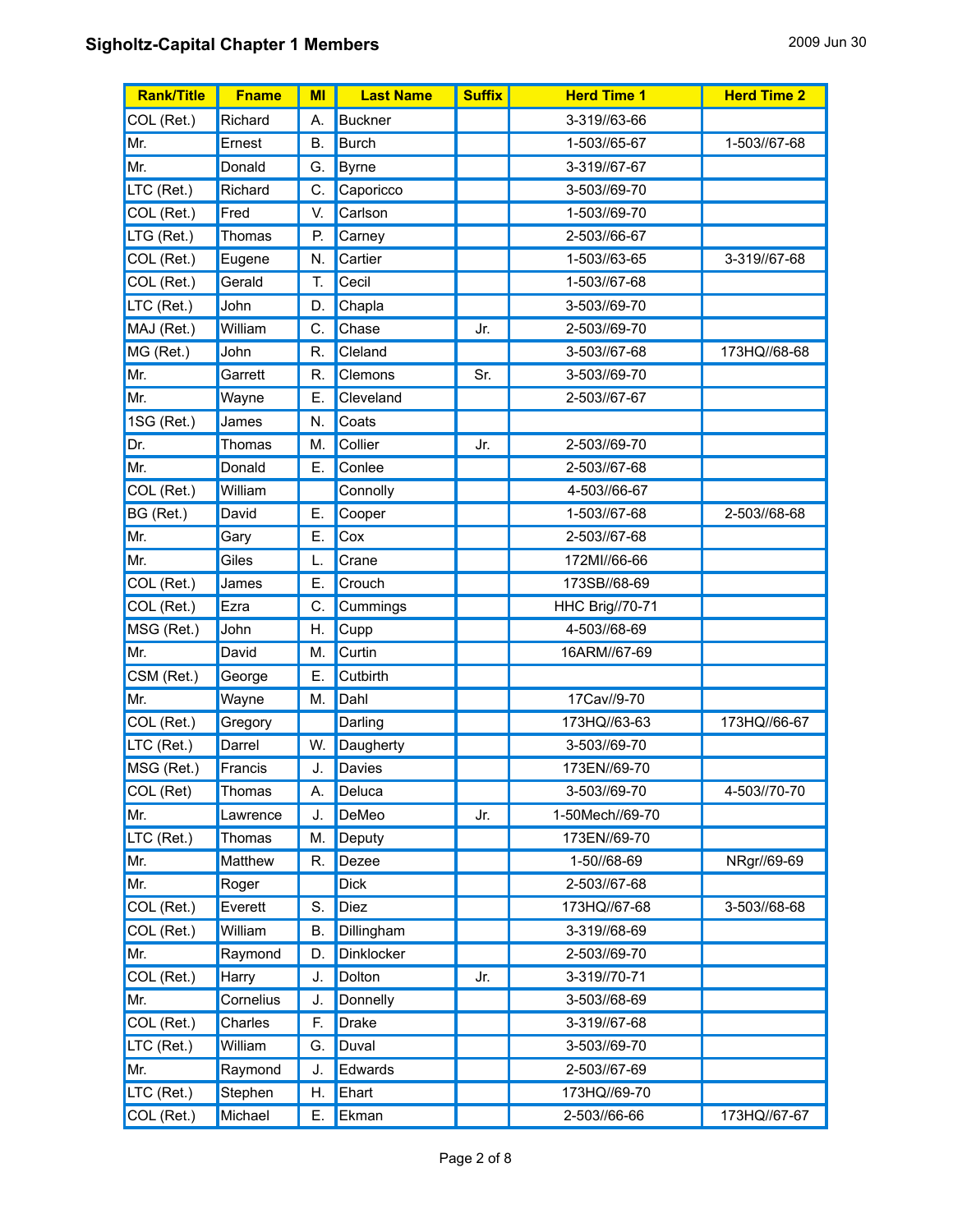| <b>Rank/Title</b> | <b>Fname</b> | MI        | <b>Last Name</b> | <b>Suffix</b> | <b>Herd Time 1</b>     | <b>Herd Time 2</b> |
|-------------------|--------------|-----------|------------------|---------------|------------------------|--------------------|
| COL (Ret.)        | Richard      | А.        | <b>Buckner</b>   |               | 3-319//63-66           |                    |
| Mr.               | Ernest       | <b>B.</b> | <b>Burch</b>     |               | 1-503//65-67           | 1-503//67-68       |
| Mr.               | Donald       | G.        | <b>Byrne</b>     |               | 3-319//67-67           |                    |
| LTC (Ret.)        | Richard      | C.        | Caporicco        |               | 3-503//69-70           |                    |
| COL (Ret.)        | Fred         | V.        | Carlson          |               | 1-503//69-70           |                    |
| LTG (Ret.)        | Thomas       | P.        | Carney           |               | 2-503//66-67           |                    |
| COL (Ret.)        | Eugene       | N.        | Cartier          |               | 1-503//63-65           | 3-319//67-68       |
| COL (Ret.)        | Gerald       | T.        | Cecil            |               | 1-503//67-68           |                    |
| LTC (Ret.)        | John         | D.        | Chapla           |               | 3-503//69-70           |                    |
| MAJ (Ret.)        | William      | C.        | Chase            | Jr.           | 2-503//69-70           |                    |
| MG (Ret.)         | John         | R.        | Cleland          |               | 3-503//67-68           | 173HQ//68-68       |
| Mr.               | Garrett      | R.        | Clemons          | Sr.           | 3-503//69-70           |                    |
| Mr.               | Wayne        | Е.        | Cleveland        |               | 2-503//67-67           |                    |
| 1SG (Ret.)        | James        | N.        | Coats            |               |                        |                    |
| Dr.               | Thomas       | M.        | Collier          | Jr.           | 2-503//69-70           |                    |
| Mr.               | Donald       | Ε.        | Conlee           |               | 2-503//67-68           |                    |
| COL (Ret.)        | William      |           | Connolly         |               | 4-503//66-67           |                    |
| BG (Ret.)         | David        | Ε.        | Cooper           |               | 1-503//67-68           | 2-503//68-68       |
| Mr.               | Gary         | Е.        | Cox              |               | 2-503//67-68           |                    |
| Mr.               | Giles        | L.        | Crane            |               | 172MI//66-66           |                    |
| COL (Ret.)        | James        | Е.        | Crouch           |               | 173SB//68-69           |                    |
| COL (Ret.)        | Ezra         | С.        | Cummings         |               | <b>HHC Brig//70-71</b> |                    |
| MSG (Ret.)        | John         | Η.        | Cupp             |               | 4-503//68-69           |                    |
| Mr.               | David        | M.        | Curtin           |               | 16ARM//67-69           |                    |
| CSM (Ret.)        | George       | Е.        | Cutbirth         |               |                        |                    |
| Mr.               | Wayne        | M.        | Dahl             |               | 17Cav//9-70            |                    |
| COL (Ret.)        | Gregory      |           | Darling          |               | 173HQ//63-63           | 173HQ//66-67       |
| LTC (Ret.)        | Darrel       | W.        | Daugherty        |               | 3-503//69-70           |                    |
| MSG (Ret.)        | Francis      | J.        | Davies           |               | 173EN//69-70           |                    |
| COL (Ret)         | Thomas       | А.        | Deluca           |               | 3-503//69-70           | 4-503//70-70       |
| Mr.               | Lawrence     | J.        | DeMeo            | Jr.           | 1-50Mech//69-70        |                    |
| LTC (Ret.)        | Thomas       | M.        | Deputy           |               | 173EN//69-70           |                    |
| Mr.               | Matthew      | R.        | Dezee            |               | 1-50//68-69            | NRgr//69-69        |
| Mr.               | Roger        |           | <b>Dick</b>      |               | 2-503//67-68           |                    |
| COL (Ret.)        | Everett      | S.        | <b>Diez</b>      |               | 173HQ//67-68           | 3-503//68-68       |
| COL (Ret.)        | William      | В.        | Dillingham       |               | 3-319//68-69           |                    |
| Mr.               | Raymond      | D.        | Dinklocker       |               | 2-503//69-70           |                    |
| COL (Ret.)        | Harry        | J.        | Dolton           | Jr.           | 3-319//70-71           |                    |
| Mr.               | Cornelius    | J.        | Donnelly         |               | 3-503//68-69           |                    |
| COL (Ret.)        | Charles      | F.        | <b>Drake</b>     |               | 3-319//67-68           |                    |
| LTC (Ret.)        | William      | G.        | Duval            |               | 3-503//69-70           |                    |
| Mr.               | Raymond      | J.        | Edwards          |               | 2-503//67-69           |                    |
| LTC (Ret.)        | Stephen      | Η.        | Ehart            |               | 173HQ//69-70           |                    |
| COL (Ret.)        | Michael      | Е.        | Ekman            |               | 2-503//66-66           | 173HQ//67-67       |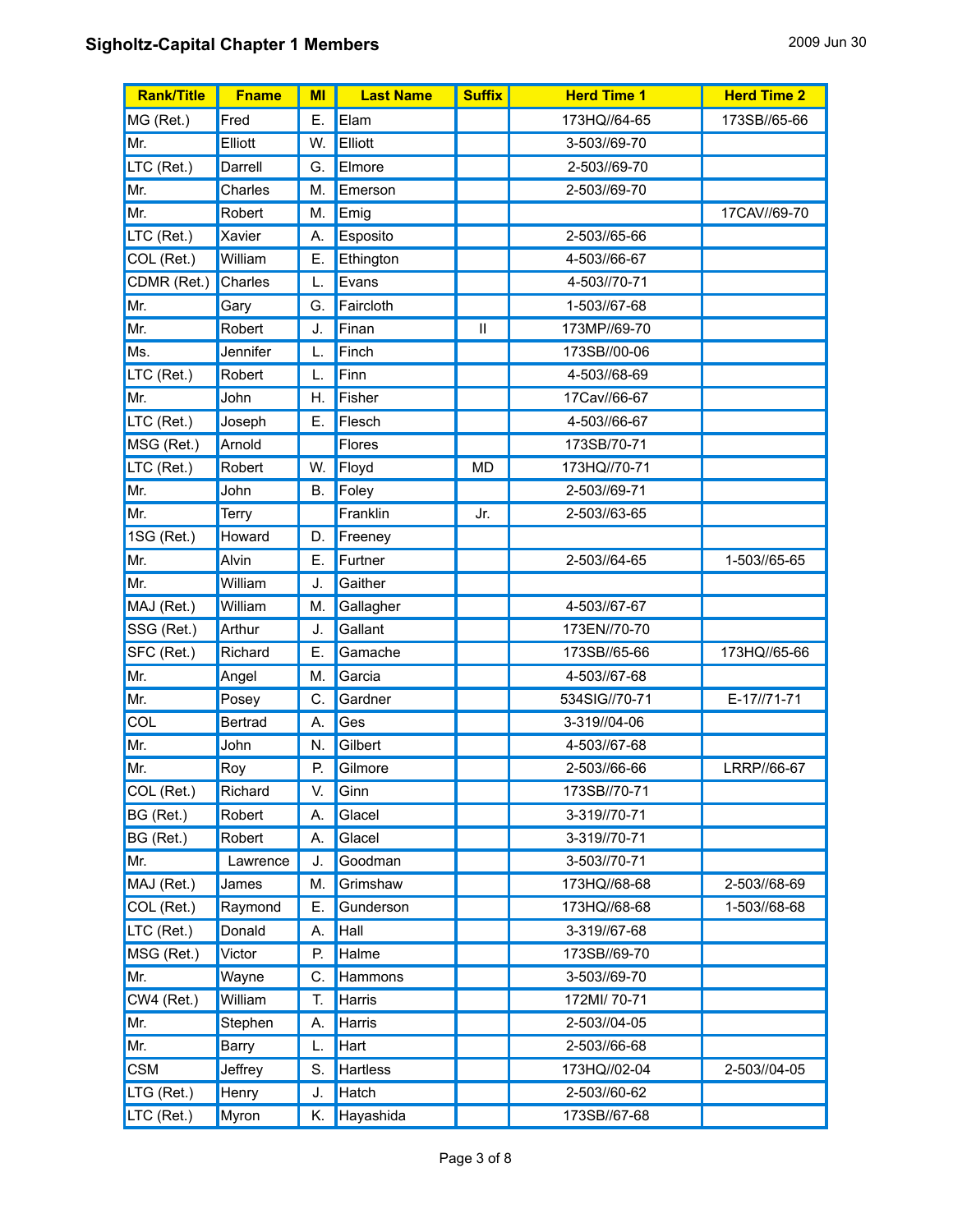| <b>Rank/Title</b> | <b>Fname</b>   | MI        | <b>Last Name</b> | <b>Suffix</b> | <b>Herd Time 1</b> | <b>Herd Time 2</b> |
|-------------------|----------------|-----------|------------------|---------------|--------------------|--------------------|
| MG (Ret.)         | Fred           | Е.        | Elam             |               | 173HQ//64-65       | 173SB//65-66       |
| Mr.               | Elliott        | W.        | Elliott          |               | 3-503//69-70       |                    |
| LTC (Ret.)        | Darrell        | G.        | Elmore           |               | 2-503//69-70       |                    |
| Mr.               | Charles        | M.        | Emerson          |               | 2-503//69-70       |                    |
| Mr.               | Robert         | М.        | Emig             |               |                    | 17CAV//69-70       |
| LTC (Ret.)        | Xavier         | A.        | Esposito         |               | 2-503//65-66       |                    |
| COL (Ret.)        | William        | E.        | Ethington        |               | 4-503//66-67       |                    |
| CDMR (Ret.)       | Charles        |           | Evans            |               | 4-503//70-71       |                    |
| Mr.               | Gary           | G.        | Faircloth        |               | 1-503//67-68       |                    |
| Mr.               | Robert         | J.        | Finan            | Ш             | 173MP//69-70       |                    |
| Ms.               | Jennifer       | L.        | Finch            |               | 173SB//00-06       |                    |
| LTC (Ret.)        | Robert         | L.        | Finn             |               | 4-503//68-69       |                    |
| Mr.               | John           | Н.        | Fisher           |               | 17Cav//66-67       |                    |
| LTC (Ret.)        | Joseph         | Е.        | Flesch           |               | 4-503//66-67       |                    |
| MSG (Ret.)        | Arnold         |           | Flores           |               | 173SB/70-71        |                    |
| LTC (Ret.)        | Robert         | W.        | Floyd            | <b>MD</b>     | 173HQ//70-71       |                    |
| Mr.               | John           | <b>B.</b> | Foley            |               | 2-503//69-71       |                    |
| Mr.               | <b>Terry</b>   |           | Franklin         | Jr.           | 2-503//63-65       |                    |
| 1SG (Ret.)        | Howard         | D.        | Freeney          |               |                    |                    |
| Mr.               | Alvin          | Е.        | Furtner          |               | 2-503//64-65       | 1-503//65-65       |
| Mr.               | William        | J.        | Gaither          |               |                    |                    |
| MAJ (Ret.)        | William        | M.        | Gallagher        |               | 4-503//67-67       |                    |
| SSG (Ret.)        | Arthur         | J.        | Gallant          |               | 173EN//70-70       |                    |
| SFC (Ret.)        | Richard        | Е.        | Gamache          |               | 173SB//65-66       | 173HQ//65-66       |
| Mr.               | Angel          | М.        | Garcia           |               | 4-503//67-68       |                    |
| Mr.               | Posey          | С.        | Gardner          |               | 534SIG//70-71      | E-17//71-71        |
| COL               | <b>Bertrad</b> | А.        | Ges              |               | 3-319//04-06       |                    |
| Mr.               | John           | N.        | Gilbert          |               | 4-503//67-68       |                    |
| Mr.               | Roy            | P.        | Gilmore          |               | 2-503//66-66       | LRRP//66-67        |
| COL (Ret.)        | Richard        | V.        | Ginn             |               | 173SB//70-71       |                    |
| BG (Ret.)         | Robert         | Α.        | Glacel           |               | 3-319//70-71       |                    |
| BG (Ret.)         | Robert         | А.        | Glacel           |               | 3-319//70-71       |                    |
| Mr.               | Lawrence       | J.        | Goodman          |               | 3-503//70-71       |                    |
| MAJ (Ret.)        | James          | M.        | Grimshaw         |               | 173HQ//68-68       | 2-503//68-69       |
| COL (Ret.)        | Raymond        | Ε.        | Gunderson        |               | 173HQ//68-68       | 1-503//68-68       |
| LTC (Ret.)        | Donald         | А.        | Hall             |               | 3-319//67-68       |                    |
| MSG (Ret.)        | Victor         | P.        | Halme            |               | 173SB//69-70       |                    |
| Mr.               | Wayne          | C.        | Hammons          |               | 3-503//69-70       |                    |
| CW4 (Ret.)        | William        | T.        | Harris           |               | 172MI/ 70-71       |                    |
| Mr.               | Stephen        | А.        | Harris           |               | 2-503//04-05       |                    |
| Mr.               | <b>Barry</b>   | L.        | Hart             |               | 2-503//66-68       |                    |
| <b>CSM</b>        | Jeffrey        | S.        | <b>Hartless</b>  |               | 173HQ//02-04       | 2-503//04-05       |
| LTG (Ret.)        | Henry          | J.        | Hatch            |               | 2-503//60-62       |                    |
| LTC (Ret.)        | Myron          | Κ.        | Hayashida        |               | 173SB//67-68       |                    |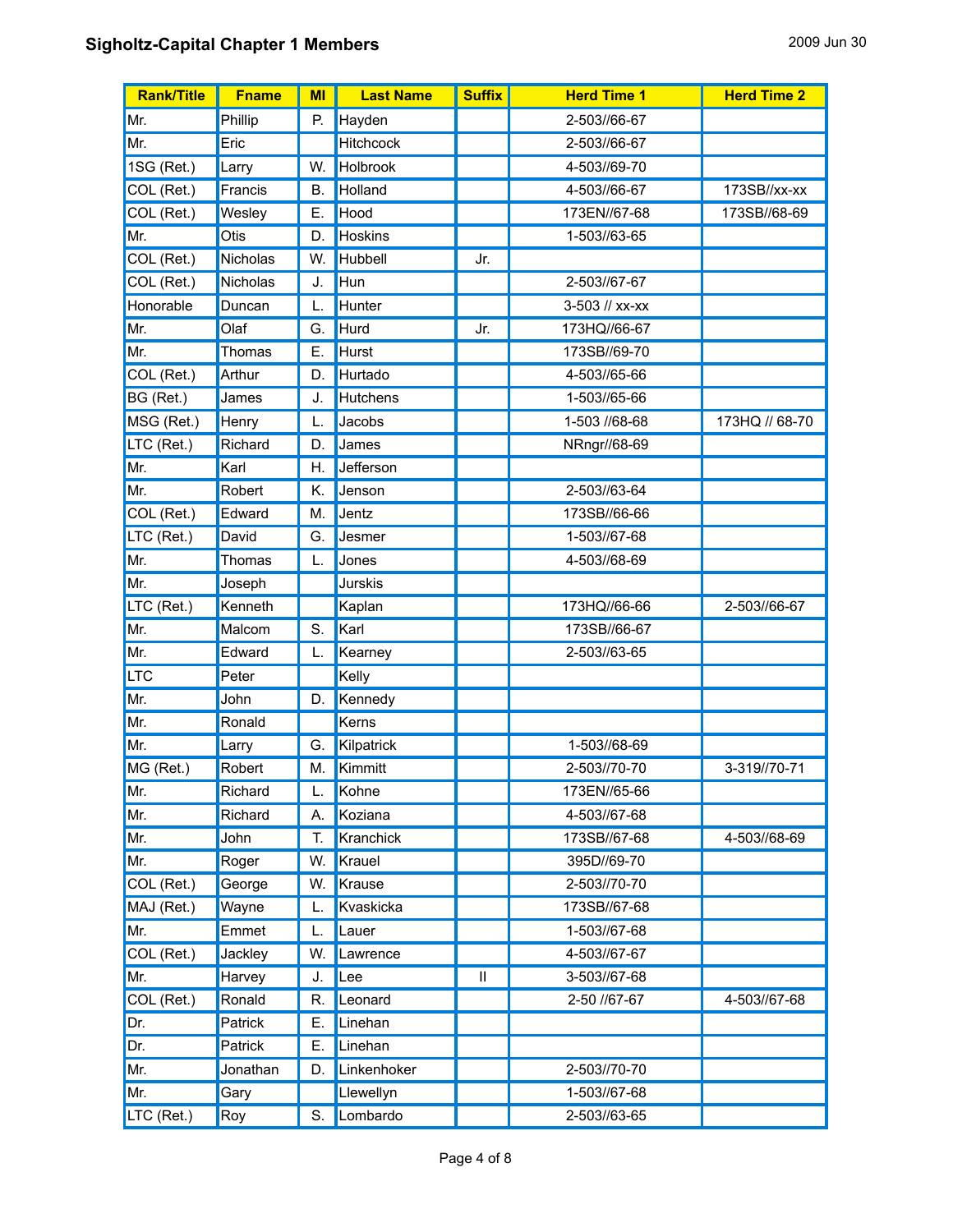| <b>Rank/Title</b> | <b>Fname</b> | MI        | <b>Last Name</b> | <b>Suffix</b> | <b>Herd Time 1</b> | <b>Herd Time 2</b> |
|-------------------|--------------|-----------|------------------|---------------|--------------------|--------------------|
| Mr.               | Phillip      | P.        | Hayden           |               | 2-503//66-67       |                    |
| Mr.               | Eric         |           | <b>Hitchcock</b> |               | 2-503//66-67       |                    |
| 1SG (Ret.)        | Larry        | W.        | Holbrook         |               | 4-503//69-70       |                    |
| COL (Ret.)        | Francis      | <b>B.</b> | Holland          |               | 4-503//66-67       | 173SB//xx-xx       |
| COL (Ret.)        | Wesley       | Е.        | Hood             |               | 173EN//67-68       | 173SB//68-69       |
| Mr.               | Otis         | D.        | <b>Hoskins</b>   |               | 1-503//63-65       |                    |
| COL (Ret.)        | Nicholas     | W.        | Hubbell          | Jr.           |                    |                    |
| COL (Ret.)        | Nicholas     | J.        | Hun              |               | 2-503//67-67       |                    |
| Honorable         | Duncan       | L.        | Hunter           |               | 3-503 // xx-xx     |                    |
| Mr.               | Olaf         | G.        | Hurd             | Jr.           | 173HQ//66-67       |                    |
| Mr.               | Thomas       | Е.        | Hurst            |               | 173SB//69-70       |                    |
| COL (Ret.)        | Arthur       | D.        | Hurtado          |               | 4-503//65-66       |                    |
| BG (Ret.)         | James        | J.        | Hutchens         |               | 1-503//65-66       |                    |
| MSG (Ret.)        | Henry        | L.        | Jacobs           |               | 1-503 //68-68      | 173HQ // 68-70     |
| LTC (Ret.)        | Richard      | D.        | James            |               | NRngr//68-69       |                    |
| Mr.               | Karl         | Н.        | Jefferson        |               |                    |                    |
| Mr.               | Robert       | Κ.        | Jenson           |               | 2-503//63-64       |                    |
| COL (Ret.)        | Edward       | M.        | Jentz            |               | 173SB//66-66       |                    |
| LTC (Ret.)        | David        | G.        | Jesmer           |               | 1-503//67-68       |                    |
| Mr.               | Thomas       | L.        | Jones            |               | 4-503//68-69       |                    |
| Mr.               | Joseph       |           | <b>Jurskis</b>   |               |                    |                    |
| LTC (Ret.)        | Kenneth      |           | Kaplan           |               | 173HQ//66-66       | 2-503//66-67       |
| Mr.               | Malcom       | S.        | Karl             |               | 173SB//66-67       |                    |
| Mr.               | Edward       | L.        | Kearney          |               | 2-503//63-65       |                    |
| <b>LTC</b>        | Peter        |           | Kelly            |               |                    |                    |
| Mr.               | John         | D.        | Kennedy          |               |                    |                    |
| Mr.               | Ronald       |           | Kerns            |               |                    |                    |
| Mr.               | Larry        | G.        | Kilpatrick       |               | 1-503//68-69       |                    |
| MG (Ret.)         | Robert       | Μ.        | Kimmitt          |               | 2-503//70-70       | 3-319//70-71       |
| Mr.               | Richard      | L.        | Kohne            |               | 173EN//65-66       |                    |
| Mr.               | Richard      | А.        | Koziana          |               | 4-503//67-68       |                    |
| Mr.               | John         | Т.        | Kranchick        |               | 173SB//67-68       | 4-503//68-69       |
| Mr.               | Roger        | W.        | Krauel           |               | 395D//69-70        |                    |
| COL (Ret.)        | George       | W.        | Krause           |               | 2-503//70-70       |                    |
| MAJ (Ret.)        | Wayne        | L.        | Kvaskicka        |               | 173SB//67-68       |                    |
| Mr.               | Emmet        | L.        | Lauer            |               | 1-503//67-68       |                    |
| COL (Ret.)        | Jackley      | W.        | Lawrence         |               | 4-503//67-67       |                    |
| Mr.               | Harvey       | J.        | Lee              | $\mathbf{I}$  | 3-503//67-68       |                    |
| COL (Ret.)        | Ronald       | R.        | Leonard          |               | 2-50 //67-67       | 4-503//67-68       |
| Dr.               | Patrick      | Е.        | Linehan          |               |                    |                    |
| Dr.               | Patrick      | Ε.        | Linehan          |               |                    |                    |
| Mr.               | Jonathan     | D.        | Linkenhoker      |               | 2-503//70-70       |                    |
| Mr.               | Gary         |           | Llewellyn        |               | 1-503//67-68       |                    |
| LTC (Ret.)        | Roy          | S.        | Lombardo         |               | 2-503//63-65       |                    |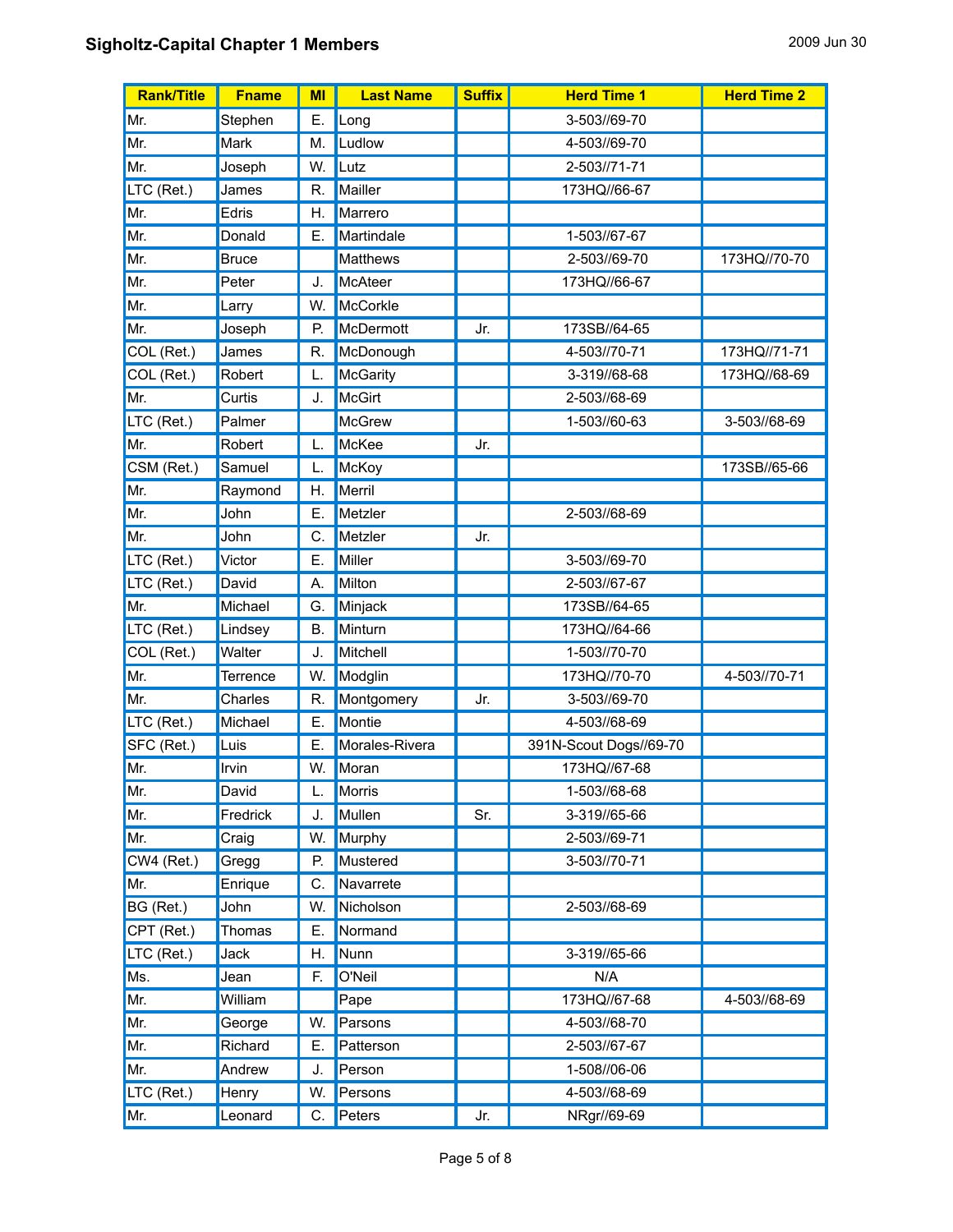| <b>Rank/Title</b>              | <b>Fname</b> | MI | <b>Last Name</b> | <b>Suffix</b> | <b>Herd Time 1</b>     | <b>Herd Time 2</b> |
|--------------------------------|--------------|----|------------------|---------------|------------------------|--------------------|
| Mr.                            | Stephen      | Е. | Long             |               | 3-503//69-70           |                    |
| Mr.                            | Mark         | M. | Ludlow           |               | 4-503//69-70           |                    |
| Mr.                            | Joseph       | W. | Lutz             |               | 2-503//71-71           |                    |
| LTC (Ret.)                     | James        | R. | Mailler          |               | 173HQ//66-67           |                    |
| Mr.                            | Edris        | Н. | Marrero          |               |                        |                    |
| Mr.                            | Donald       | Е. | Martindale       |               | 1-503//67-67           |                    |
| Mr.                            | <b>Bruce</b> |    | <b>Matthews</b>  |               | 2-503//69-70           | 173HQ//70-70       |
| Mr.                            | Peter        | J. | McAteer          |               | 173HQ//66-67           |                    |
| Mr.                            | Larry        | W. | McCorkle         |               |                        |                    |
| Mr.                            | Joseph       | P. | McDermott        | Jr.           | 173SB//64-65           |                    |
| COL (Ret.)                     | James        | R. | McDonough        |               | 4-503//70-71           | 173HQ//71-71       |
| COL (Ret.)                     | Robert       | L. | McGarity         |               | 3-319//68-68           | 173HQ//68-69       |
| Mr.                            | Curtis       | J. | McGirt           |               | 2-503//68-69           |                    |
| LTC (Ret.)                     | Palmer       |    | McGrew           |               | 1-503//60-63           | 3-503//68-69       |
| Mr.                            | Robert       | L. | <b>McKee</b>     | Jr.           |                        |                    |
| $\overline{\text{CSM}}$ (Ret.) | Samuel       | L. | McKoy            |               |                        | 173SB//65-66       |
| Mr.                            | Raymond      | Η. | Merril           |               |                        |                    |
| Mr.                            | John         | Ε. | Metzler          |               | 2-503//68-69           |                    |
| Mr.                            | John         | C. | Metzler          | Jr.           |                        |                    |
| LTC (Ret.)                     | Victor       | Е. | Miller           |               | 3-503//69-70           |                    |
| LTC (Ret.)                     | David        | А. | Milton           |               | 2-503//67-67           |                    |
| Mr.                            | Michael      | G. | Minjack          |               | 173SB//64-65           |                    |
| LTC (Ret.)                     | Lindsey      | В. | Minturn          |               | 173HQ//64-66           |                    |
| COL (Ret.)                     | Walter       | J. | Mitchell         |               | 1-503//70-70           |                    |
| Mr.                            | Terrence     | W. | Modglin          |               | 173HQ//70-70           | 4-503//70-71       |
| Mr.                            | Charles      | R. | Montgomery       | Jr.           | 3-503//69-70           |                    |
| LTC (Ret.)                     | Michael      | Ε. | Montie           |               | 4-503//68-69           |                    |
| SFC (Ret.)                     | Luis         | Ε. | Morales-Rivera   |               | 391N-Scout Dogs//69-70 |                    |
| Mr.                            | Irvin        | W. | Moran            |               | 173HQ//67-68           |                    |
| Mr.                            | David        | L. | <b>Morris</b>    |               | 1-503//68-68           |                    |
| Mr.                            | Fredrick     | J. | Mullen           | Sr.           | 3-319//65-66           |                    |
| Mr.                            | Craig        | W. | Murphy           |               | 2-503//69-71           |                    |
| CW4 (Ret.)                     | Gregg        | Ρ. | Mustered         |               | 3-503//70-71           |                    |
| Mr.                            | Enrique      | C. | Navarrete        |               |                        |                    |
| BG (Ret.)                      | John         | W. | Nicholson        |               | 2-503//68-69           |                    |
| CPT (Ret.)                     | Thomas       | Е. | Normand          |               |                        |                    |
| LTC (Ret.)                     | Jack         | Η. | Nunn             |               | 3-319//65-66           |                    |
| Ms.                            | Jean         | F. | O'Neil           |               | N/A                    |                    |
| Mr.                            | William      |    | Pape             |               | 173HQ//67-68           | 4-503//68-69       |
| Mr.                            | George       | W. | Parsons          |               | 4-503//68-70           |                    |
| Mr.                            | Richard      | Ε. | Patterson        |               | 2-503//67-67           |                    |
| Mr.                            | Andrew       | J. | Person           |               | 1-508//06-06           |                    |
| LTC (Ret.)                     | Henry        | W. | Persons          |               | 4-503//68-69           |                    |
| Mr.                            | Leonard      | C. | Peters           | Jr.           | NRgr//69-69            |                    |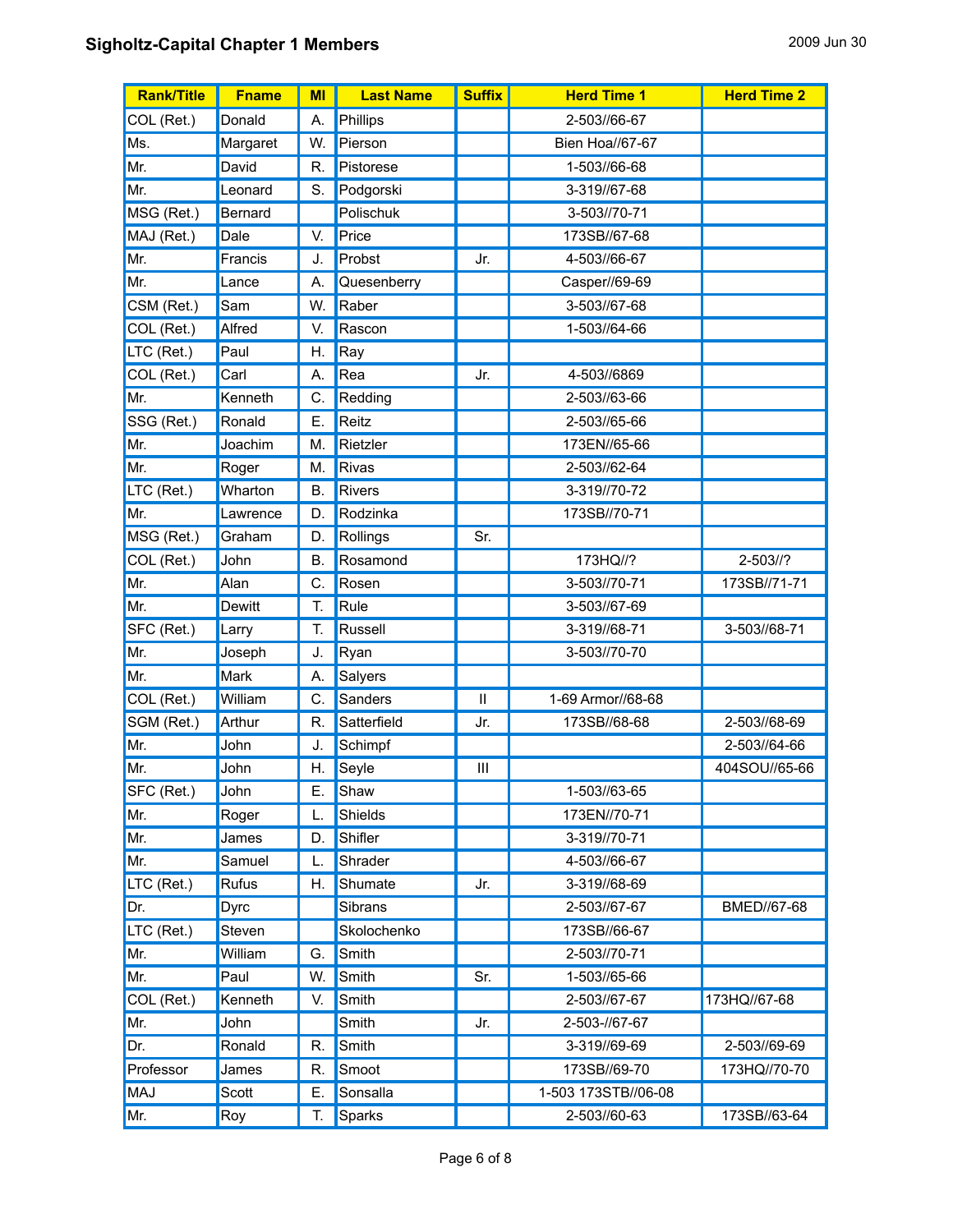| <b>Rank/Title</b> | <b>Fname</b>  | MI | <b>Last Name</b> | <b>Suffix</b> | <b>Herd Time 1</b>     | <b>Herd Time 2</b> |
|-------------------|---------------|----|------------------|---------------|------------------------|--------------------|
| COL (Ret.)        | Donald        | А. | Phillips         |               | 2-503//66-67           |                    |
| Ms.               | Margaret      | W. | Pierson          |               | <b>Bien Hoa//67-67</b> |                    |
| Mr.               | David         | R. | Pistorese        |               | 1-503//66-68           |                    |
| Mr.               | Leonard       | S. | Podgorski        |               | 3-319//67-68           |                    |
| MSG (Ret.)        | Bernard       |    | Polischuk        |               | 3-503//70-71           |                    |
| MAJ (Ret.)        | Dale          | V. | Price            |               | 173SB//67-68           |                    |
| Mr.               | Francis       | J. | Probst           | Jr.           | 4-503//66-67           |                    |
| Mr.               | Lance         | А. | Quesenberry      |               | Casper//69-69          |                    |
| CSM (Ret.)        | Sam           | W. | Raber            |               | 3-503//67-68           |                    |
| COL (Ret.)        | Alfred        | V. | Rascon           |               | 1-503//64-66           |                    |
| LTC (Ret.)        | Paul          | Η. | Ray              |               |                        |                    |
| COL (Ret.)        | Carl          | А. | Rea              | Jr.           | 4-503//6869            |                    |
| Mr.               | Kenneth       | C. | Redding          |               | 2-503//63-66           |                    |
| SSG (Ret.)        | Ronald        | Е. | Reitz            |               | 2-503//65-66           |                    |
| Mr.               | Joachim       | M. | Rietzler         |               | 173EN//65-66           |                    |
| Mr.               | Roger         | M. | Rivas            |               | 2-503//62-64           |                    |
| LTC (Ret.)        | Wharton       | В. | <b>Rivers</b>    |               | 3-319//70-72           |                    |
| Mr.               | Lawrence      | D. | Rodzinka         |               | 173SB//70-71           |                    |
| MSG (Ret.)        | Graham        | D. | Rollings         | Sr.           |                        |                    |
| COL (Ret.)        | John          | В. | Rosamond         |               | 173HQ//?               | $2 - 503$ //?      |
| Mr.               | Alan          | C. | Rosen            |               | 3-503//70-71           | 173SB//71-71       |
| Mr.               | <b>Dewitt</b> | T. | Rule             |               | 3-503//67-69           |                    |
| SFC (Ret.)        | Larry         | Т. | Russell          |               | 3-319//68-71           | 3-503//68-71       |
| Mr.               | Joseph        | J. | Ryan             |               | 3-503//70-70           |                    |
| Mr.               | Mark          | А. | Salyers          |               |                        |                    |
| COL (Ret.)        | William       | С. | Sanders          | $\mathbf{I}$  | 1-69 Armor//68-68      |                    |
| SGM (Ret.)        | Arthur        | R. | Satterfield      | Jr.           | 173SB//68-68           | 2-503//68-69       |
| Mr.               | John          | J. | Schimpf          |               |                        | 2-503//64-66       |
| Mr.               | John          | Η. | Seyle            | Ш             |                        | 404SOU//65-66      |
| SFC (Ret.)        | John          | Е. | Shaw             |               | 1-503//63-65           |                    |
| Mr.               | Roger         | L. | Shields          |               | 173EN//70-71           |                    |
| Mr.               | James         | D. | Shifler          |               | 3-319//70-71           |                    |
| Mr.               | Samuel        |    | Shrader          |               | 4-503//66-67           |                    |
| LTC (Ret.)        | Rufus         | Н. | Shumate          | Jr.           | 3-319//68-69           |                    |
| Dr.               | Dyrc          |    | Sibrans          |               | 2-503//67-67           | BMED//67-68        |
| LTC (Ret.)        | Steven        |    | Skolochenko      |               | 173SB//66-67           |                    |
| Mr.               | William       | G. | Smith            |               | 2-503//70-71           |                    |
| Mr.               | Paul          | W. | Smith            | Sr.           | 1-503//65-66           |                    |
| COL (Ret.)        | Kenneth       | V. | Smith            |               | 2-503//67-67           | 173HQ//67-68       |
| Mr.               | John          |    | Smith            | Jr.           | 2-503-//67-67          |                    |
| Dr.               | Ronald        | R. | Smith            |               | 3-319//69-69           | 2-503//69-69       |
| Professor         | James         | R. | Smoot            |               | 173SB//69-70           | 173HQ//70-70       |
| MAJ               | Scott         | Ε. | Sonsalla         |               | 1-503 173STB//06-08    |                    |
| Mr.               | Roy           | T. | Sparks           |               | 2-503//60-63           | 173SB//63-64       |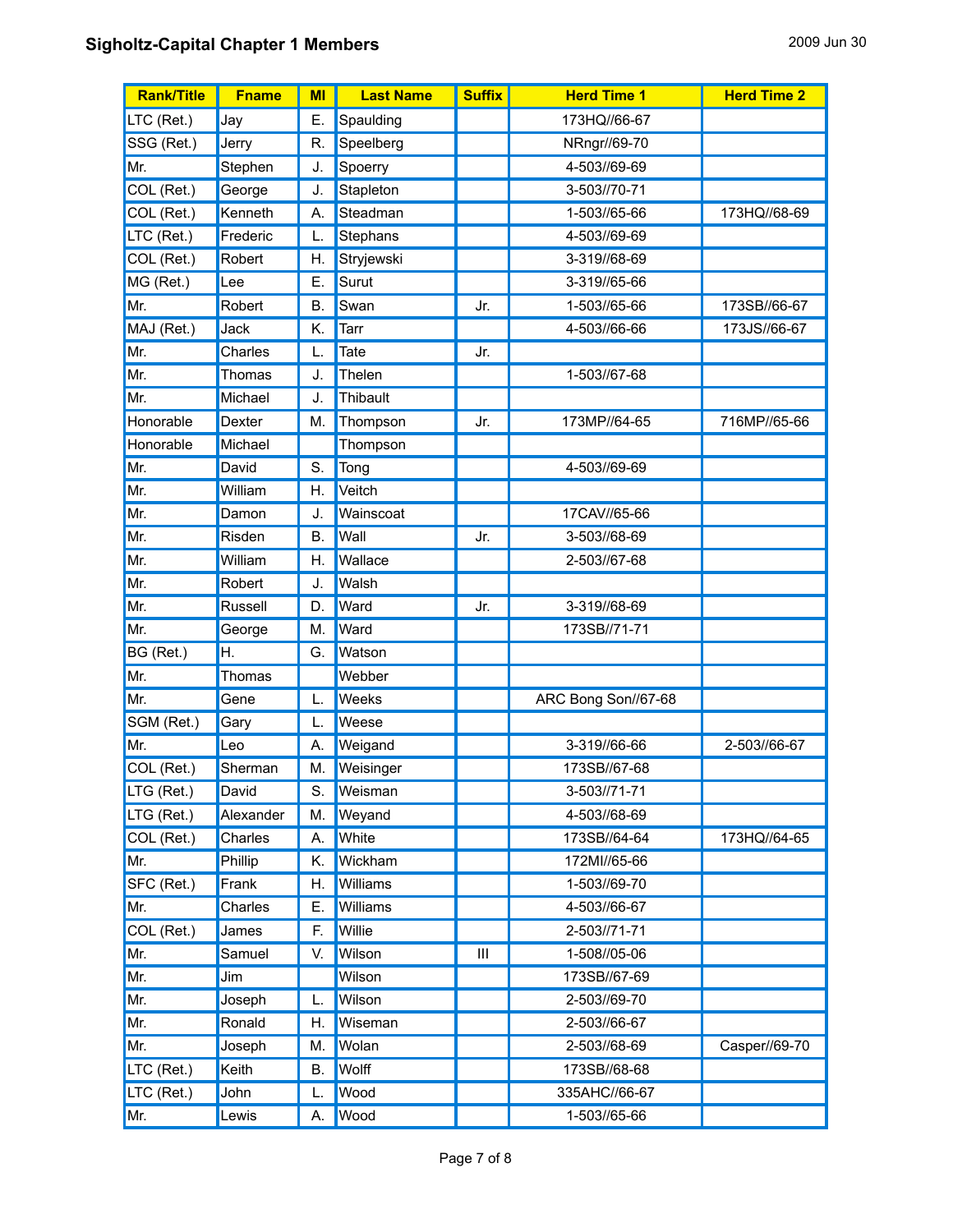## **Sigholtz-Capital Chapter 1 Members** 2009 Jun 30

| <b>Rank/Title</b> | <b>Fname</b> | MI        | <b>Last Name</b> | <b>Suffix</b> | <b>Herd Time 1</b>  | <b>Herd Time 2</b> |
|-------------------|--------------|-----------|------------------|---------------|---------------------|--------------------|
| LTC (Ret.)        | Jay          | Е.        | Spaulding        |               | 173HQ//66-67        |                    |
| SSG (Ret.)        | Jerry        | R.        | Speelberg        |               | NRngr//69-70        |                    |
| Mr.               | Stephen      | J.        | Spoerry          |               | 4-503//69-69        |                    |
| COL (Ret.)        | George       | J.        | Stapleton        |               | 3-503//70-71        |                    |
| COL (Ret.)        | Kenneth      | А.        | Steadman         |               | 1-503//65-66        | 173HQ//68-69       |
| LTC (Ret.)        | Frederic     | L.        | Stephans         |               | 4-503//69-69        |                    |
| COL (Ret.)        | Robert       | Η.        | Stryjewski       |               | 3-319//68-69        |                    |
| MG (Ret.)         | Lee          | Ε.        | Surut            |               | 3-319//65-66        |                    |
| Mr.               | Robert       | В.        | Swan             | Jr.           | 1-503//65-66        | 173SB//66-67       |
| MAJ (Ret.)        | Jack         | K.        | Tarr             |               | 4-503//66-66        | 173JS//66-67       |
| Mr.               | Charles      | L.        | Tate             | Jr.           |                     |                    |
| Mr.               | Thomas       | J.        | Thelen           |               | 1-503//67-68        |                    |
| Mr.               | Michael      | J.        | Thibault         |               |                     |                    |
| Honorable         | Dexter       | M.        | Thompson         | Jr.           | 173MP//64-65        | 716MP//65-66       |
| Honorable         | Michael      |           | Thompson         |               |                     |                    |
| Mr.               | David        | S.        | Tong             |               | 4-503//69-69        |                    |
| Mr.               | William      | Η.        | Veitch           |               |                     |                    |
| Mr.               | Damon        | J.        | Wainscoat        |               | 17CAV//65-66        |                    |
| Mr.               | Risden       | <b>B.</b> | Wall             | Jr.           | 3-503//68-69        |                    |
| Mr.               | William      | Η.        | Wallace          |               | 2-503//67-68        |                    |
| Mr.               | Robert       | J.        | Walsh            |               |                     |                    |
| Mr.               | Russell      | D.        | Ward             | Jr.           | 3-319//68-69        |                    |
| Mr.               | George       | M.        | Ward             |               | 173SB//71-71        |                    |
| BG (Ret.)         | Η.           | G.        | Watson           |               |                     |                    |
| Mr.               | Thomas       |           | Webber           |               |                     |                    |
| Mr.               | Gene         | L.        | Weeks            |               | ARC Bong Son//67-68 |                    |
| SGM (Ret.)        | Gary         | L.        | Weese            |               |                     |                    |
| Mr.               | Leo          | А.        | Weigand          |               | 3-319//66-66        | 2-503//66-67       |
| COL (Ret.)        | Sherman      | М.        | Weisinger        |               | 173SB//67-68        |                    |
| LTG (Ret.)        | David        | S.        | Weisman          |               | 3-503//71-71        |                    |
| LTG (Ret.)        | Alexander    | M.        | Weyand           |               | 4-503//68-69        |                    |
| COL (Ret.)        | Charles      | А.        | White            |               | 173SB//64-64        | 173HQ//64-65       |
| Mr.               | Phillip      | Κ.        | Wickham          |               | 172MI//65-66        |                    |
| SFC (Ret.)        | Frank        | Η.        | Williams         |               | 1-503//69-70        |                    |
| Mr.               | Charles      | Ε.        | Williams         |               | 4-503//66-67        |                    |
| COL (Ret.)        | James        | F.        | Willie           |               | 2-503//71-71        |                    |
| Mr.               | Samuel       | V.        | Wilson           | Ш             | 1-508//05-06        |                    |
| Mr.               | Jim          |           | Wilson           |               | 173SB//67-69        |                    |
| Mr.               | Joseph       | L.        | Wilson           |               | 2-503//69-70        |                    |
| Mr.               | Ronald       | Η.        | Wiseman          |               | 2-503//66-67        |                    |
| Mr.               | Joseph       | M.        | Wolan            |               | 2-503//68-69        | Casper//69-70      |
| LTC (Ret.)        | Keith        | В.        | Wolff            |               | 173SB//68-68        |                    |
| LTC (Ret.)        | John         | L.        | Wood             |               | 335AHC//66-67       |                    |
| Mr.               | Lewis        | Α.        | Wood             |               | 1-503//65-66        |                    |